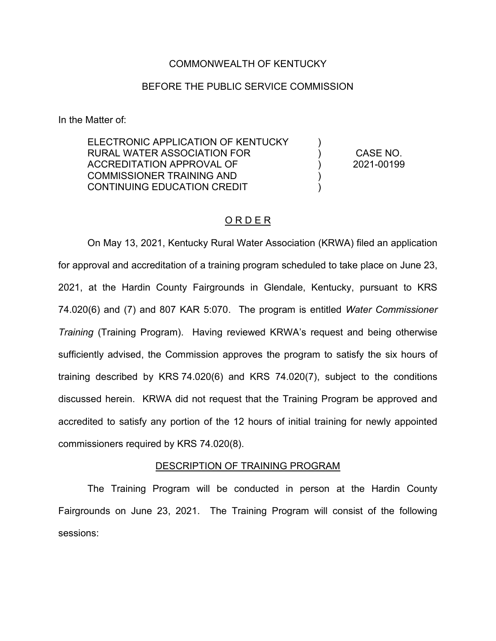### COMMONWEALTH OF KENTUCKY

## BEFORE THE PUBLIC SERVICE COMMISSION

In the Matter of:

ELECTRONIC APPLICATION OF KENTUCKY RURAL WATER ASSOCIATION FOR ACCREDITATION APPROVAL OF COMMISSIONER TRAINING AND CONTINUING EDUCATION CREDIT  $\lambda$  $\lambda$ ) ) ) CASE NO. 2021-00199

# O R D E R

On May 13, 2021, Kentucky Rural Water Association (KRWA) filed an application for approval and accreditation of a training program scheduled to take place on June 23, 2021, at the Hardin County Fairgrounds in Glendale, Kentucky, pursuant to KRS 74.020(6) and (7) and 807 KAR 5:070. The program is entitled *Water Commissioner Training* (Training Program). Having reviewed KRWA's request and being otherwise sufficiently advised, the Commission approves the program to satisfy the six hours of training described by KRS 74.020(6) and KRS 74.020(7), subject to the conditions discussed herein. KRWA did not request that the Training Program be approved and accredited to satisfy any portion of the 12 hours of initial training for newly appointed commissioners required by KRS 74.020(8).

### DESCRIPTION OF TRAINING PROGRAM

The Training Program will be conducted in person at the Hardin County Fairgrounds on June 23, 2021. The Training Program will consist of the following sessions: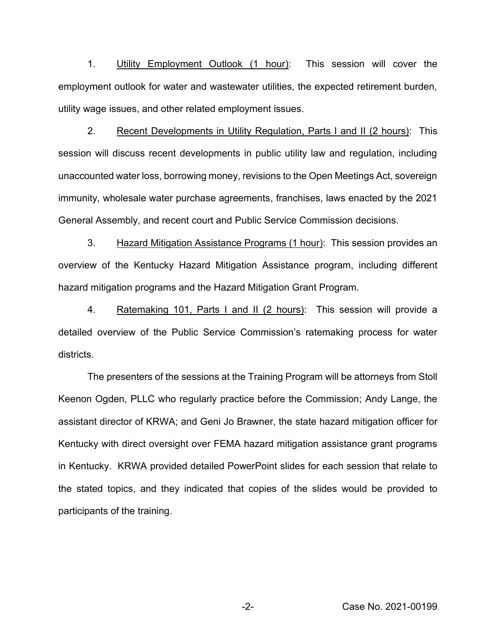1. Utility Employment Outlook (1 hour): This session will cover the employment outlook for water and wastewater utilities, the expected retirement burden, utility wage issues, and other related employment issues.

2. Recent Developments in Utility Regulation, Parts I and II (2 hours): This session will discuss recent developments in public utility law and regulation, including unaccounted water loss, borrowing money, revisions to the Open Meetings Act, sovereign immunity, wholesale water purchase agreements, franchises, laws enacted by the 2021 General Assembly, and recent court and Public Service Commission decisions.

3. Hazard Mitigation Assistance Programs (1 hour): This session provides an overview of the Kentucky Hazard Mitigation Assistance program, including different hazard mitigation programs and the Hazard Mitigation Grant Program.

4. Ratemaking 101, Parts I and II (2 hours): This session will provide a detailed overview of the Public Service Commission's ratemaking process for water districts.

The presenters of the sessions at the Training Program will be attorneys from Stoll Keenon Ogden, PLLC who regularly practice before the Commission; Andy Lange, the assistant director of KRWA; and Geni Jo Brawner, the state hazard mitigation officer for Kentucky with direct oversight over FEMA hazard mitigation assistance grant programs in Kentucky. KRWA provided detailed PowerPoint slides for each session that relate to the stated topics, and they indicated that copies of the slides would be provided to participants of the training.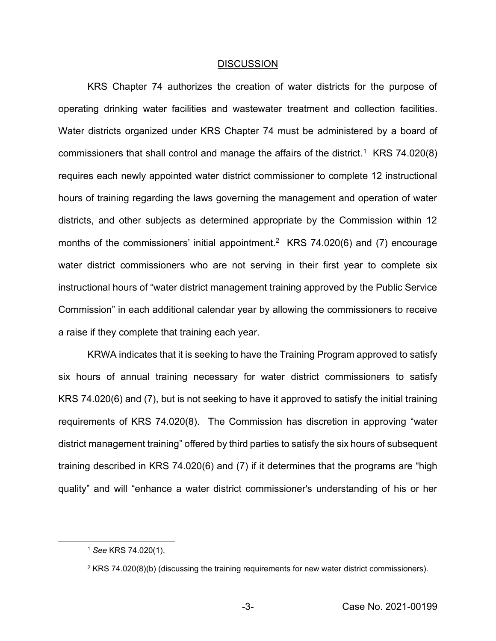#### DISCUSSION

KRS Chapter 74 authorizes the creation of water districts for the purpose of operating drinking water facilities and wastewater treatment and collection facilities. Water districts organized under KRS Chapter 74 must be administered by a board of commissioners that shall control and manage the affairs of the district.<sup>1</sup> KRS 74.020(8) requires each newly appointed water district commissioner to complete 12 instructional hours of training regarding the laws governing the management and operation of water districts, and other subjects as determined appropriate by the Commission within 12 months of the commissioners' initial appointment.<sup>2</sup> KRS 74.020(6) and (7) encourage water district commissioners who are not serving in their first year to complete six instructional hours of "water district management training approved by the Public Service Commission" in each additional calendar year by allowing the commissioners to receive a raise if they complete that training each year.

KRWA indicates that it is seeking to have the Training Program approved to satisfy six hours of annual training necessary for water district commissioners to satisfy KRS 74.020(6) and (7), but is not seeking to have it approved to satisfy the initial training requirements of KRS 74.020(8). The Commission has discretion in approving "water district management training" offered by third parties to satisfy the six hours of subsequent training described in KRS 74.020(6) and (7) if it determines that the programs are "high quality" and will "enhance a water district commissioner's understanding of his or her

<sup>1</sup> *See* KRS 74.020(1).

 $2$  KRS 74.020(8)(b) (discussing the training requirements for new water district commissioners).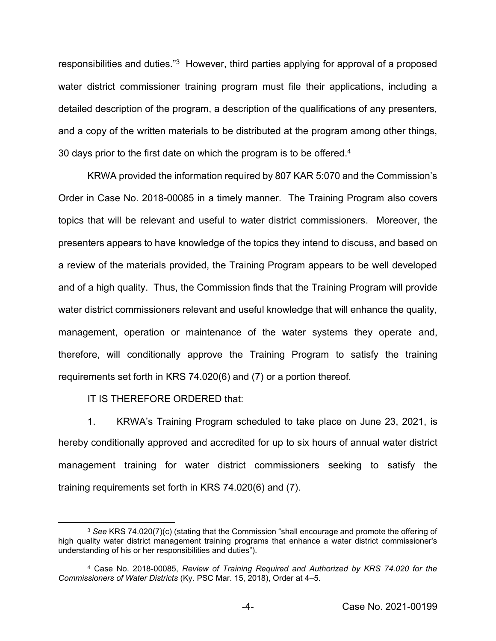responsibilities and duties."3 However, third parties applying for approval of a proposed water district commissioner training program must file their applications, including a detailed description of the program, a description of the qualifications of any presenters, and a copy of the written materials to be distributed at the program among other things, 30 days prior to the first date on which the program is to be offered.<sup>4</sup>

KRWA provided the information required by 807 KAR 5:070 and the Commission's Order in Case No. 2018-00085 in a timely manner. The Training Program also covers topics that will be relevant and useful to water district commissioners. Moreover, the presenters appears to have knowledge of the topics they intend to discuss, and based on a review of the materials provided, the Training Program appears to be well developed and of a high quality. Thus, the Commission finds that the Training Program will provide water district commissioners relevant and useful knowledge that will enhance the quality, management, operation or maintenance of the water systems they operate and, therefore, will conditionally approve the Training Program to satisfy the training requirements set forth in KRS 74.020(6) and (7) or a portion thereof*.*

IT IS THEREFORE ORDERED that:

1. KRWA's Training Program scheduled to take place on June 23, 2021, is hereby conditionally approved and accredited for up to six hours of annual water district management training for water district commissioners seeking to satisfy the training requirements set forth in KRS 74.020(6) and (7).

<sup>3</sup> *See* KRS 74.020(7)(c) (stating that the Commission "shall encourage and promote the offering of high quality water district management training programs that enhance a water district commissioner's understanding of his or her responsibilities and duties").

<sup>4</sup> Case No. 2018-00085, *Review of Training Required and Authorized by KRS 74.020 for the Commissioners of Water Districts* (Ky. PSC Mar. 15, 2018), Order at 4–5.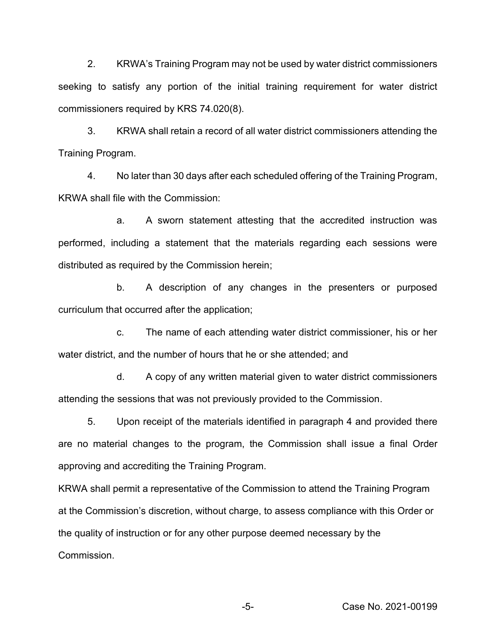2. KRWA's Training Program may not be used by water district commissioners seeking to satisfy any portion of the initial training requirement for water district commissioners required by KRS 74.020(8).

3. KRWA shall retain a record of all water district commissioners attending the Training Program.

4. No later than 30 days after each scheduled offering of the Training Program, KRWA shall file with the Commission:

a. A sworn statement attesting that the accredited instruction was performed, including a statement that the materials regarding each sessions were distributed as required by the Commission herein;

b. A description of any changes in the presenters or purposed curriculum that occurred after the application;

c. The name of each attending water district commissioner, his or her water district, and the number of hours that he or she attended; and

d. A copy of any written material given to water district commissioners attending the sessions that was not previously provided to the Commission.

5. Upon receipt of the materials identified in paragraph 4 and provided there are no material changes to the program, the Commission shall issue a final Order approving and accrediting the Training Program.

KRWA shall permit a representative of the Commission to attend the Training Program at the Commission's discretion, without charge, to assess compliance with this Order or the quality of instruction or for any other purpose deemed necessary by the Commission.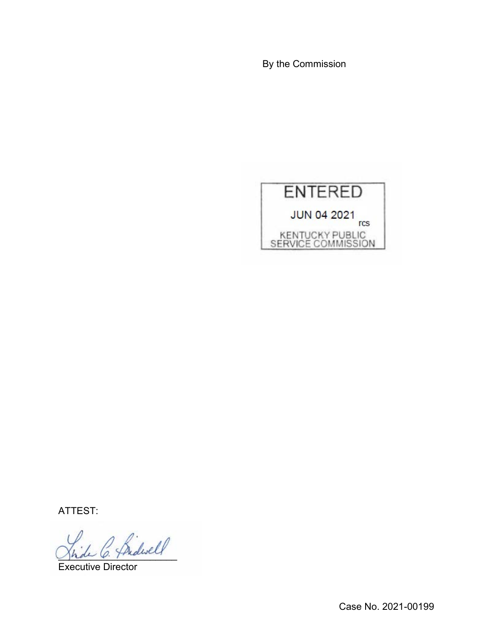By the Commission



ATTEST:

Bidwell

Executive Director

Case No. 2021-00199